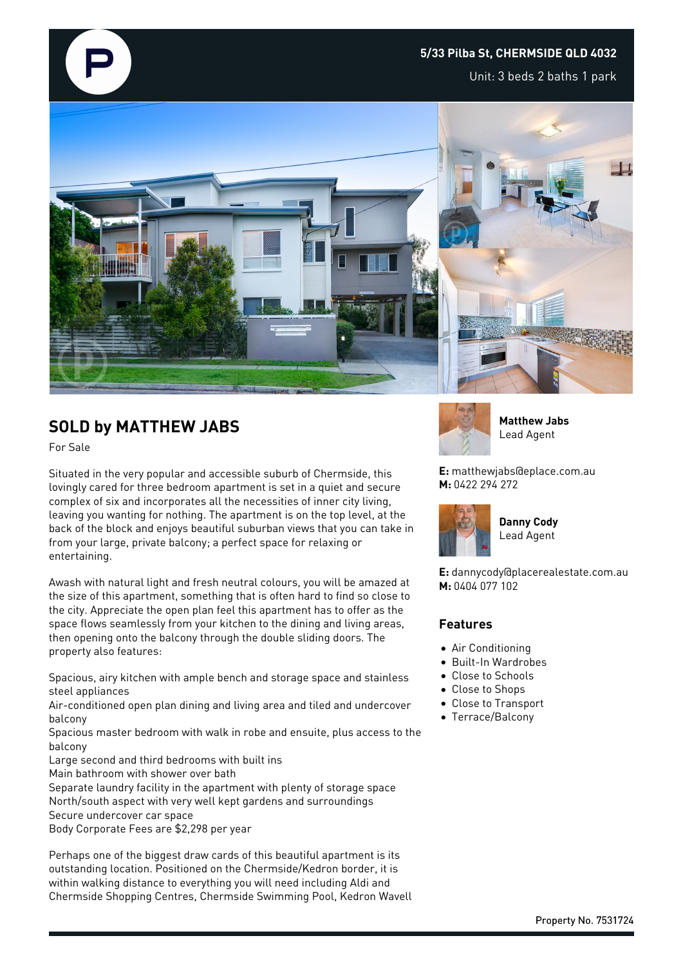## **5/33 Pilba St, CHERMSIDE QLD 4032**

Unit: 3 beds 2 baths 1 park



## **SOLD by MATTHEW JABS**

For Sale

Situated in the very popular and accessible suburb of Chermside, this lovingly cared for three bedroom apartment is set in a quiet and secure complex of six and incorporates all the necessities of inner city living, leaving you wanting for nothing. The apartment is on the top level, at the back of the block and enjoys beautiful suburban views that you can take in from your large, private balcony; a perfect space for relaxing or entertaining.

Awash with natural light and fresh neutral colours, you will be amazed at the size of this apartment, something that is often hard to find so close to the city. Appreciate the open plan feel this apartment has to offer as the space flows seamlessly from your kitchen to the dining and living areas, then opening onto the balcony through the double sliding doors. The property also features:

Spacious, airy kitchen with ample bench and storage space and stainless steel appliances

Air-conditioned open plan dining and living area and tiled and undercover balcony

Spacious master bedroom with walk in robe and ensuite, plus access to the balcony

Large second and third bedrooms with built ins

Main bathroom with shower over bath

Separate laundry facility in the apartment with plenty of storage space North/south aspect with very well kept gardens and surroundings Secure undercover car space Body Corporate Fees are \$2,298 per year

Perhaps one of the biggest draw cards of this beautiful apartment is its outstanding location. Positioned on the Chermside/Kedron border, it is within walking distance to everything you will need including Aldi and Chermside Shopping Centres, Chermside Swimming Pool, Kedron Wavell



**Matthew Jabs** Lead Agent

**E:** matthewjabs@eplace.com.au **M:** 0422 294 272



Lead Agent

**Danny Cody**

**E:** dannycody@placerealestate.com.au **M:** 0404 077 102

## **Features**

- Air Conditioning
- Built-In Wardrobes
- Close to Schools
- Close to Shops
- Close to Transport
- Terrace/Balcony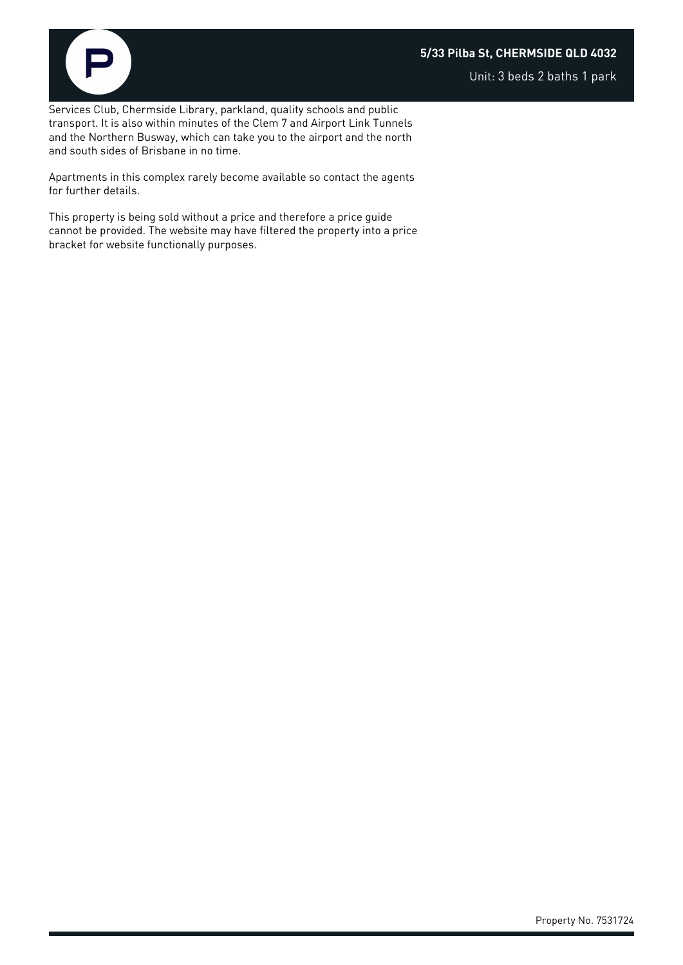## **5/33 Pilba St, CHERMSIDE QLD 4032**



Unit: 3 beds 2 baths 1 park

Services Club, Chermside Library, parkland, quality schools and public transport. It is also within minutes of the Clem 7 and Airport Link Tunnels and the Northern Busway, which can take you to the airport and the north and south sides of Brisbane in no time.

Apartments in this complex rarely become available so contact the agents for further details.

This property is being sold without a price and therefore a price guide cannot be provided. The website may have filtered the property into a price bracket for website functionally purposes.